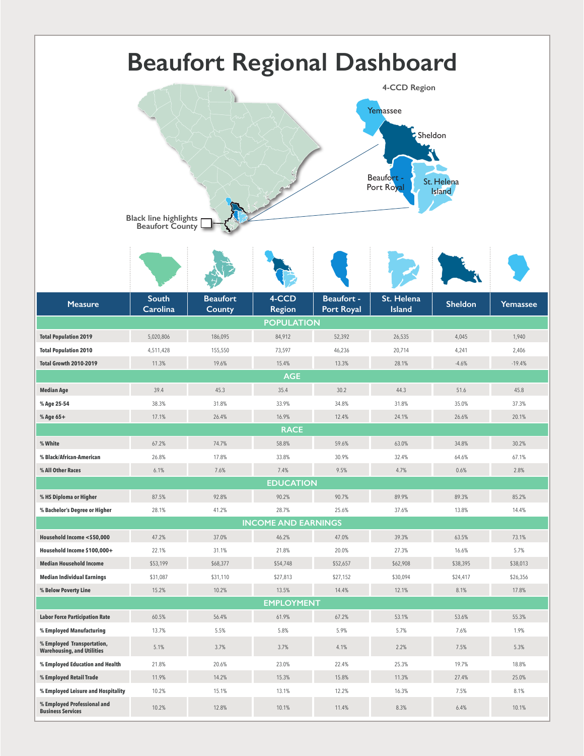